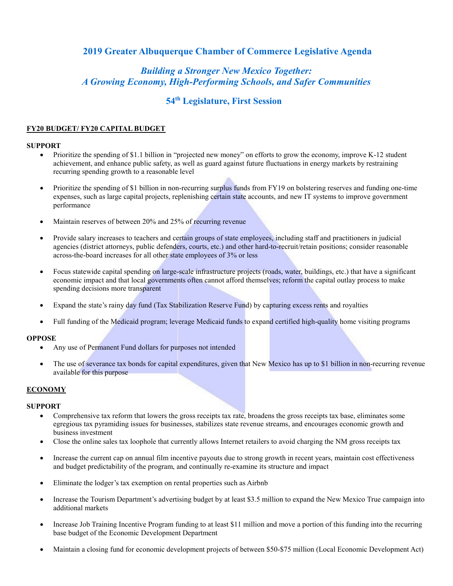# **2019 Greater Albuquerque Chamber of Commerce Legislative Agenda**

# *Building a Stronger New Mexico Together: A Growing Economy, High-Performing Schools, and Safer Communities*

# **54th Legislature, First Session**

## **FY20 BUDGET/ FY20 CAPITAL BUDGET**

## **SUPPORT**

- Prioritize the spending of \$1.1 billion in "projected new money" on efforts to grow the economy, improve K-12 student achievement, and enhance public safety, as well as guard against future fluctuations in energy markets by restraining recurring spending growth to a reasonable level
- Prioritize the spending of \$1 billion in non-recurring surplus funds from FY19 on bolstering reserves and funding one-time expenses, such as large capital projects, replenishing certain state accounts, and new IT systems to improve government performance
- Maintain reserves of between 20% and 25% of recurring revenue
- Provide salary increases to teachers and certain groups of state employees, including staff and practitioners in judicial agencies (district attorneys, public defenders, courts, etc.) and other hard-to-recruit/retain positions; consider reasonable across-the-board increases for all other state employees of 3% or less
- Focus statewide capital spending on large-scale infrastructure projects (roads, water, buildings, etc.) that have a significant economic impact and that local governments often cannot afford themselves; reform the capital outlay process to make spending decisions more transparent
- Expand the state's rainy day fund (Tax Stabilization Reserve Fund) by capturing excess rents and royalties
- Full funding of the Medicaid program; leverage Medicaid funds to expand certified high-quality home visiting programs

### **OPPOSE**

- Any use of Permanent Fund dollars for purposes not intended
- The use of severance tax bonds for capital expenditures, given that New Mexico has up to \$1 billion in non-recurring revenue available for this purpose

## **ECONOMY**

### **SUPPORT**

- Comprehensive tax reform that lowers the gross receipts tax rate, broadens the gross receipts tax base, eliminates some egregious tax pyramiding issues for businesses, stabilizes state revenue streams, and encourages economic growth and business investment
- Close the online sales tax loophole that currently allows Internet retailers to avoid charging the NM gross receipts tax
- Increase the current cap on annual film incentive payouts due to strong growth in recent years, maintain cost effectiveness and budget predictability of the program, and continually re-examine its structure and impact
- Eliminate the lodger's tax exemption on rental properties such as Airbnb
- Increase the Tourism Department's advertising budget by at least \$3.5 million to expand the New Mexico True campaign into additional markets
- Increase Job Training Incentive Program funding to at least \$11 million and move a portion of this funding into the recurring base budget of the Economic Development Department
- Maintain a closing fund for economic development projects of between \$50-\$75 million (Local Economic Development Act)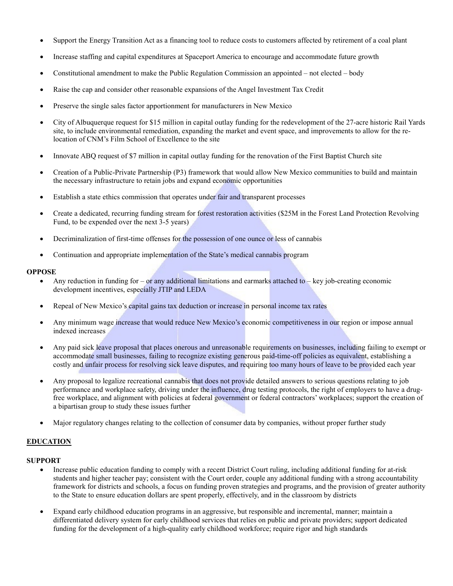- Support the Energy Transition Act as a financing tool to reduce costs to customers affected by retirement of a coal plant
- Increase staffing and capital expenditures at Spaceport America to encourage and accommodate future growth
- Constitutional amendment to make the Public Regulation Commission an appointed not elected body
- Raise the cap and consider other reasonable expansions of the Angel Investment Tax Credit
- Preserve the single sales factor apportionment for manufacturers in New Mexico
- City of Albuquerque request for \$15 million in capital outlay funding for the redevelopment of the 27-acre historic Rail Yards site, to include environmental remediation, expanding the market and event space, and improvements to allow for the relocation of CNM's Film School of Excellence to the site
- Innovate ABQ request of \$7 million in capital outlay funding for the renovation of the First Baptist Church site
- Creation of a Public-Private Partnership (P3) framework that would allow New Mexico communities to build and maintain the necessary infrastructure to retain jobs and expand economic opportunities
- Establish a state ethics commission that operates under fair and transparent processes
- Create a dedicated, recurring funding stream for forest restoration activities (\$25M in the Forest Land Protection Revolving Fund, to be expended over the next 3-5 years)
- Decriminalization of first-time offenses for the possession of one ounce or less of cannabis
- Continuation and appropriate implementation of the State's medical cannabis program

#### **OPPOSE**

- Any reduction in funding for or any additional limitations and earmarks attached to key job-creating economic development incentives, especially JTIP and LEDA
- Repeal of New Mexico's capital gains tax deduction or increase in personal income tax rates
- Any minimum wage increase that would reduce New Mexico's economic competitiveness in our region or impose annual indexed increases
- Any paid sick leave proposal that places onerous and unreasonable requirements on businesses, including failing to exempt or accommodate small businesses, failing to recognize existing generous paid-time-off policies as equivalent, establishing a costly and unfair process for resolving sick leave disputes, and requiring too many hours of leave to be provided each year
- Any proposal to legalize recreational cannabis that does not provide detailed answers to serious questions relating to job performance and workplace safety, driving under the influence, drug testing protocols, the right of employers to have a drugfree workplace, and alignment with policies at federal government or federal contractors' workplaces; support the creation of a bipartisan group to study these issues further
- Major regulatory changes relating to the collection of consumer data by companies, without proper further study

### **EDUCATION**

#### **SUPPORT**

- Increase public education funding to comply with a recent District Court ruling, including additional funding for at-risk students and higher teacher pay; consistent with the Court order, couple any additional funding with a strong accountability framework for districts and schools, a focus on funding proven strategies and programs, and the provision of greater authority to the State to ensure education dollars are spent properly, effectively, and in the classroom by districts
- Expand early childhood education programs in an aggressive, but responsible and incremental, manner; maintain a differentiated delivery system for early childhood services that relies on public and private providers; support dedicated funding for the development of a high-quality early childhood workforce; require rigor and high standards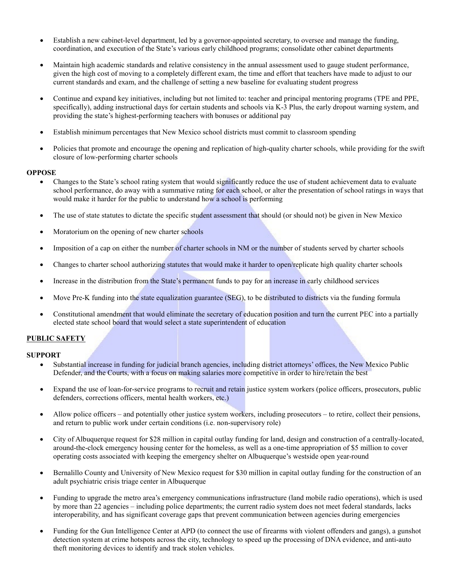- Establish a new cabinet-level department, led by a governor-appointed secretary, to oversee and manage the funding, coordination, and execution of the State's various early childhood programs; consolidate other cabinet departments
- Maintain high academic standards and relative consistency in the annual assessment used to gauge student performance, given the high cost of moving to a completely different exam, the time and effort that teachers have made to adjust to our current standards and exam, and the challenge of setting a new baseline for evaluating student progress
- Continue and expand key initiatives, including but not limited to: teacher and principal mentoring programs (TPE and PPE, specifically), adding instructional days for certain students and schools via K-3 Plus, the early dropout warning system, and providing the state's highest-performing teachers with bonuses or additional pay
- Establish minimum percentages that New Mexico school districts must commit to classroom spending
- Policies that promote and encourage the opening and replication of high-quality charter schools, while providing for the swift closure of low-performing charter schools

#### **OPPOSE**

- Changes to the State's school rating system that would significantly reduce the use of student achievement data to evaluate school performance, do away with a summative rating for each school, or alter the presentation of school ratings in ways that would make it harder for the public to understand how a school is performing
- The use of state statutes to dictate the specific student assessment that should (or should not) be given in New Mexico
- Moratorium on the opening of new charter schools
- Imposition of a cap on either the number of charter schools in NM or the number of students served by charter schools
- Changes to charter school authorizing statutes that would make it harder to open/replicate high quality charter schools
- Increase in the distribution from the State's permanent funds to pay for an increase in early childhood services
- Move Pre-K funding into the state equalization guarantee (SEG), to be distributed to districts via the funding formula
- Constitutional amendment that would eliminate the secretary of education position and turn the current PEC into a partially elected state school board that would select a state superintendent of education

#### **PUBLIC SAFETY**

#### **SUPPORT**

- Substantial increase in funding for judicial branch agencies, including district attorneys' offices, the New Mexico Public Defender, and the Courts, with a focus on making salaries more competitive in order to hire/retain the best
- Expand the use of loan-for-service programs to recruit and retain justice system workers (police officers, prosecutors, public defenders, corrections officers, mental health workers, etc.)
- Allow police officers and potentially other justice system workers, including prosecutors to retire, collect their pensions, and return to public work under certain conditions (i.e. non-supervisory role)
- City of Albuquerque request for \$28 million in capital outlay funding for land, design and construction of a centrally-located, around-the-clock emergency housing center for the homeless, as well as a one-time appropriation of \$5 million to cover operating costs associated with keeping the emergency shelter on Albuquerque's westside open year-round
- Bernalillo County and University of New Mexico request for \$30 million in capital outlay funding for the construction of an adult psychiatric crisis triage center in Albuquerque
- Funding to upgrade the metro area's emergency communications infrastructure (land mobile radio operations), which is used by more than 22 agencies – including police departments; the current radio system does not meet federal standards, lacks interoperability, and has significant coverage gaps that prevent communication between agencies during emergencies
- Funding for the Gun Intelligence Center at APD (to connect the use of firearms with violent offenders and gangs), a gunshot detection system at crime hotspots across the city, technology to speed up the processing of DNA evidence, and anti-auto theft monitoring devices to identify and track stolen vehicles.